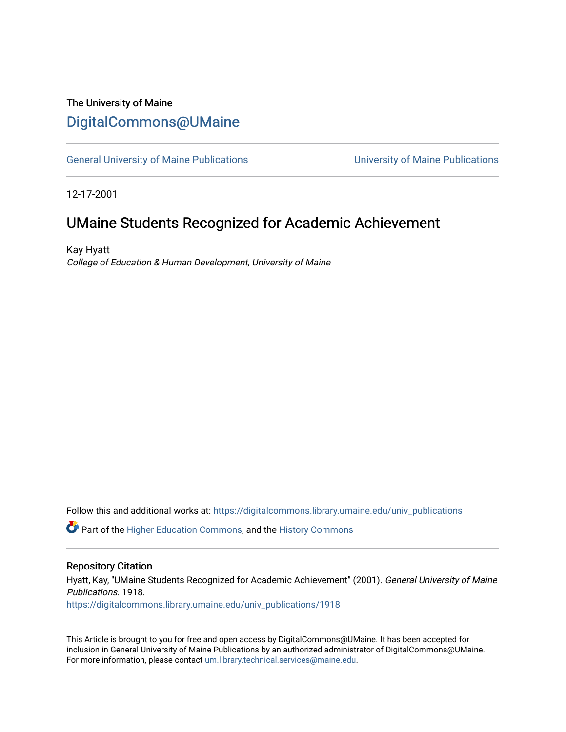## The University of Maine [DigitalCommons@UMaine](https://digitalcommons.library.umaine.edu/)

[General University of Maine Publications](https://digitalcommons.library.umaine.edu/univ_publications) [University of Maine Publications](https://digitalcommons.library.umaine.edu/umaine_publications) 

12-17-2001

# UMaine Students Recognized for Academic Achievement

Kay Hyatt College of Education & Human Development, University of Maine

Follow this and additional works at: [https://digitalcommons.library.umaine.edu/univ\\_publications](https://digitalcommons.library.umaine.edu/univ_publications?utm_source=digitalcommons.library.umaine.edu%2Funiv_publications%2F1918&utm_medium=PDF&utm_campaign=PDFCoverPages) 

**C** Part of the [Higher Education Commons,](http://network.bepress.com/hgg/discipline/1245?utm_source=digitalcommons.library.umaine.edu%2Funiv_publications%2F1918&utm_medium=PDF&utm_campaign=PDFCoverPages) and the [History Commons](http://network.bepress.com/hgg/discipline/489?utm_source=digitalcommons.library.umaine.edu%2Funiv_publications%2F1918&utm_medium=PDF&utm_campaign=PDFCoverPages)

#### Repository Citation

Hyatt, Kay, "UMaine Students Recognized for Academic Achievement" (2001). General University of Maine Publications. 1918.

[https://digitalcommons.library.umaine.edu/univ\\_publications/1918](https://digitalcommons.library.umaine.edu/univ_publications/1918?utm_source=digitalcommons.library.umaine.edu%2Funiv_publications%2F1918&utm_medium=PDF&utm_campaign=PDFCoverPages)

This Article is brought to you for free and open access by DigitalCommons@UMaine. It has been accepted for inclusion in General University of Maine Publications by an authorized administrator of DigitalCommons@UMaine. For more information, please contact [um.library.technical.services@maine.edu](mailto:um.library.technical.services@maine.edu).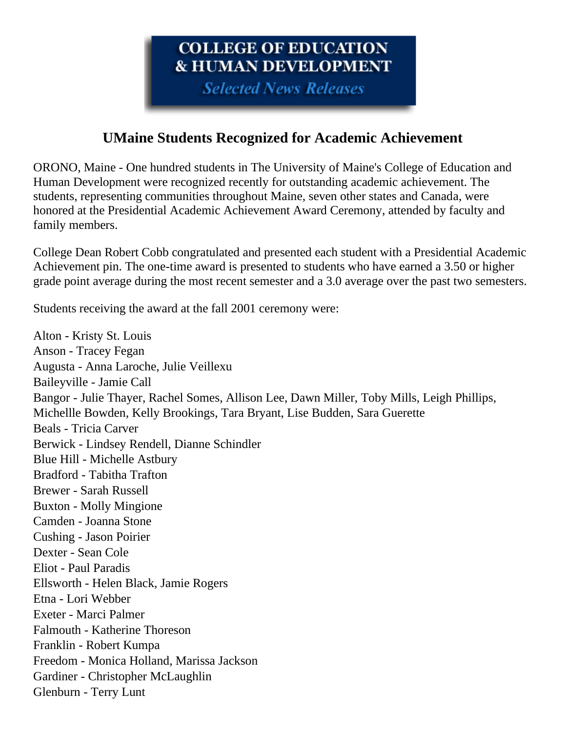# COLLEGE OF EDUCATION **& HUMAN DEVELOPMENT**

**Selected News Releases** 

## **UMaine Students Recognized for Academic Achievement**

ORONO, Maine - One hundred students in The University of Maine's College of Education and Human Development were recognized recently for outstanding academic achievement. The students, representing communities throughout Maine, seven other states and Canada, were honored at the Presidential Academic Achievement Award Ceremony, attended by faculty and family members.

College Dean Robert Cobb congratulated and presented each student with a Presidential Academic Achievement pin. The one-time award is presented to students who have earned a 3.50 or higher grade point average during the most recent semester and a 3.0 average over the past two semesters.

Students receiving the award at the fall 2001 ceremony were:

Alton - Kristy St. Louis Anson - Tracey Fegan Augusta - Anna Laroche, Julie Veillexu Baileyville - Jamie Call Bangor - Julie Thayer, Rachel Somes, Allison Lee, Dawn Miller, Toby Mills, Leigh Phillips, Michellle Bowden, Kelly Brookings, Tara Bryant, Lise Budden, Sara Guerette Beals - Tricia Carver Berwick - Lindsey Rendell, Dianne Schindler Blue Hill - Michelle Astbury Bradford - Tabitha Trafton Brewer - Sarah Russell Buxton - Molly Mingione Camden - Joanna Stone Cushing - Jason Poirier Dexter - Sean Cole Eliot - Paul Paradis Ellsworth - Helen Black, Jamie Rogers Etna - Lori Webber Exeter - Marci Palmer Falmouth - Katherine Thoreson Franklin - Robert Kumpa Freedom - Monica Holland, Marissa Jackson Gardiner - Christopher McLaughlin Glenburn - Terry Lunt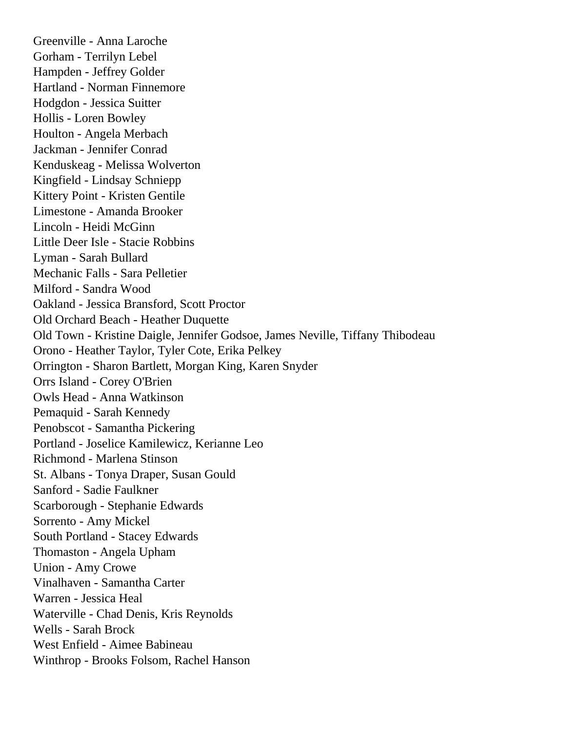Greenville - Anna Laroche Gorham - Terrilyn Lebel Hampden - Jeffrey Golder Hartland - Norman Finnemore Hodgdon - Jessica Suitter Hollis - Loren Bowley Houlton - Angela Merbach Jackman - Jennifer Conrad Kenduskeag - Melissa Wolverton Kingfield - Lindsay Schniepp Kittery Point - Kristen Gentile Limestone - Amanda Brooker Lincoln - Heidi McGinn Little Deer Isle - Stacie Robbins Lyman - Sarah Bullard Mechanic Falls - Sara Pelletier Milford - Sandra Wood Oakland - Jessica Bransford, Scott Proctor Old Orchard Beach - Heather Duquette Old Town - Kristine Daigle, Jennifer Godsoe, James Neville, Tiffany Thibodeau Orono - Heather Taylor, Tyler Cote, Erika Pelkey Orrington - Sharon Bartlett, Morgan King, Karen Snyder Orrs Island - Corey O'Brien Owls Head - Anna Watkinson Pemaquid - Sarah Kennedy Penobscot - Samantha Pickering Portland - Joselice Kamilewicz, Kerianne Leo Richmond - Marlena Stinson St. Albans - Tonya Draper, Susan Gould Sanford - Sadie Faulkner Scarborough - Stephanie Edwards Sorrento - Amy Mickel South Portland - Stacey Edwards Thomaston - Angela Upham Union - Amy Crowe Vinalhaven - Samantha Carter Warren - Jessica Heal Waterville - Chad Denis, Kris Reynolds Wells - Sarah Brock West Enfield - Aimee Babineau Winthrop - Brooks Folsom, Rachel Hanson